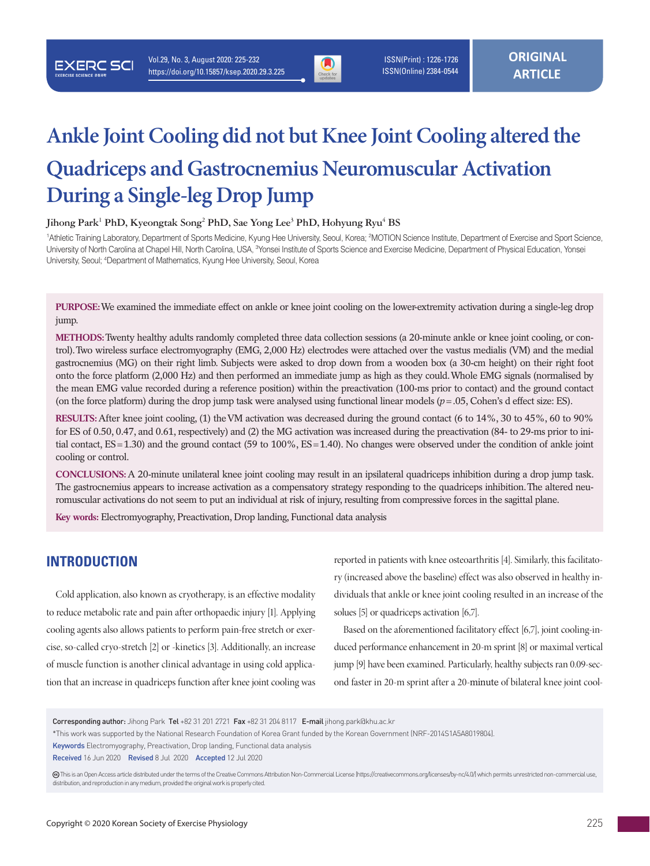

 ISSN(Print) : 1226-1726 ISSN(Online) 2384-0544

# **Ankle Joint Cooling did not but Knee Joint Cooling altered the Quadriceps and Gastrocnemius Neuromuscular Activation During a Single-leg Drop Jump**

#### $J$ ihong Park<sup>1</sup> PhD, Kyeongtak Song<sup>2</sup> PhD, Sae Yong Lee<sup>3</sup> PhD, Hohyung Ryu<sup>4</sup> BS

<sup>1</sup>Athletic Training Laboratory, Department of Sports Medicine, Kyung Hee University, Seoul, Korea; <sup>2</sup>MOTION Science Institute, Department of Exercise and Sport Science, University of North Carolina at Chapel Hill, North Carolina, USA, <sup>3</sup>Yonsei Institute of Sports Science and Exercise Medicine, Department of Physical Education, Yonsei University, Seoul; <sup>4</sup>Department of Mathematics, Kyung Hee University, Seoul, Korea

**PURPOSE:** We examined the immediate effect on ankle or knee joint cooling on the lower-extremity activation during a single-leg drop jump.

**METHODS:** Twenty healthy adults randomly completed three data collection sessions (a 20-minute ankle or knee joint cooling, or control). Two wireless surface electromyography (EMG, 2,000 Hz) electrodes were attached over the vastus medialis (VM) and the medial gastrocnemius (MG) on their right limb. Subjects were asked to drop down from a wooden box (a 30-cm height) on their right foot onto the force platform (2,000 Hz) and then performed an immediate jump as high as they could. Whole EMG signals (normalised by the mean EMG value recorded during a reference position) within the preactivation (100-ms prior to contact) and the ground contact (on the force platform) during the drop jump task were analysed using functional linear models  $(p = .05,$  Cohen's d effect size: ES).

**RESULTS:** After knee joint cooling, (1) the VM activation was decreased during the ground contact (6 to 14%, 30 to 45%, 60 to 90% for ES of 0.50, 0.47, and 0.61, respectively) and (2) the MG activation was increased during the preactivation (84- to 29-ms prior to initial contact, ES=1.30) and the ground contact (59 to 100%, ES=1.40). No changes were observed under the condition of ankle joint cooling or control.

**CONCLUSIONS:** A 20-minute unilateral knee joint cooling may result in an ipsilateral quadriceps inhibition during a drop jump task. The gastrocnemius appears to increase activation as a compensatory strategy responding to the quadriceps inhibition. The altered neuromuscular activations do not seem to put an individual at risk of injury, resulting from compressive forces in the sagittal plane.

**Key words:** Electromyography, Preactivation, Drop landing, Functional data analysis

# **INTRODUCTION**

**EXERC SCI** 

Cold application, also known as cryotherapy, is an effective modality to reduce metabolic rate and pain after orthopaedic injury [1]. Applying cooling agents also allows patients to perform pain-free stretch or exercise, so-called cryo-stretch [2] or -kinetics [3]. Additionally, an increase of muscle function is another clinical advantage in using cold application that an increase in quadriceps function after knee joint cooling was

reported in patients with knee osteoarthritis [4]. Similarly, this facilitatory (increased above the baseline) effect was also observed in healthy individuals that ankle or knee joint cooling resulted in an increase of the solues [5] or quadriceps activation [6,7].

Based on the aforementioned facilitatory effect [6,7], joint cooling-induced performance enhancement in 20-m sprint [8] or maximal vertical jump [9] have been examined. Particularly, healthy subjects ran 0.09-second faster in 20-m sprint after a 20-minute of bilateral knee joint cool-

Corresponding author: Jihong Park Tel +82 31 201 2721 Fax +82 31 204 8117 E-mail jihong.park@khu.ac.kr

<sup>\*</sup>This work was supported by the National Research Foundation of Korea Grant funded by the Korean Government (NRF-2014S1A5A8019804).

Keywords Electromyography, Preactivation, Drop landing, Functional data analysis

Received 16 Jun 2020 Revised 8 Jul 2020 Accepted 12 Jul 2020

This is an Open Access article distributed under the terms of the Creative Commons Attribution Non-Commercial License (https://creativecommons.org/licenses/by-nc/4.0/) which permits unrestricted non-commercial use, distribution, and reproduction in any medium, provided the original work is properly cited.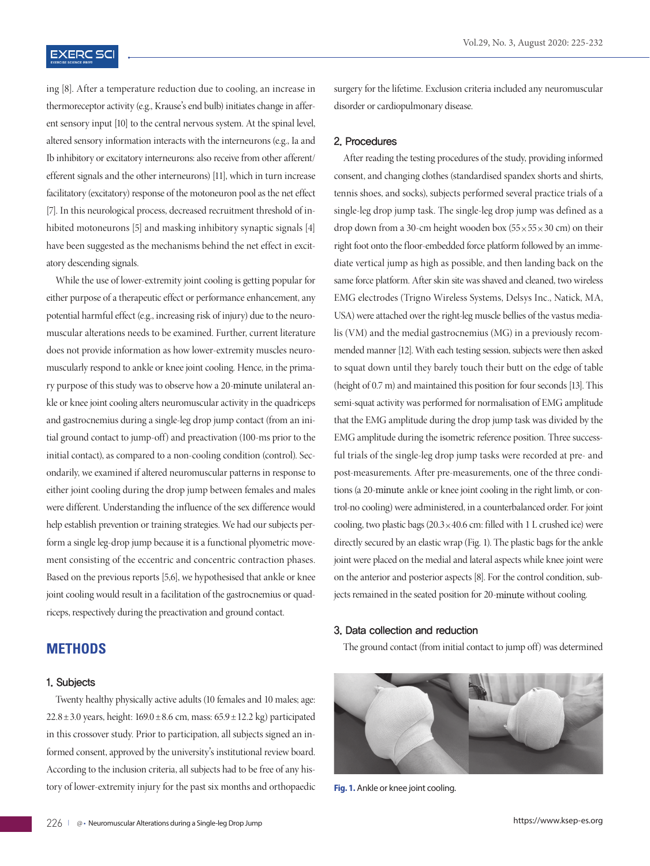## **EXERC SCI**

ing [8]. After a temperature reduction due to cooling, an increase in thermoreceptor activity (e.g., Krause's end bulb) initiates change in afferent sensory input [10] to the central nervous system. At the spinal level, altered sensory information interacts with the interneurons (e.g., Ia and Ib inhibitory or excitatory interneurons: also receive from other afferent/ efferent signals and the other interneurons) [11], which in turn increase facilitatory (excitatory) response of the motoneuron pool as the net effect [7]. In this neurological process, decreased recruitment threshold of inhibited motoneurons [5] and masking inhibitory synaptic signals [4] have been suggested as the mechanisms behind the net effect in excitatory descending signals.

While the use of lower-extremity joint cooling is getting popular for either purpose of a therapeutic effect or performance enhancement, any potential harmful effect (e.g., increasing risk of injury) due to the neuromuscular alterations needs to be examined. Further, current literature does not provide information as how lower-extremity muscles neuromuscularly respond to ankle or knee joint cooling. Hence, in the primary purpose of this study was to observe how a 20-minute unilateral ankle or knee joint cooling alters neuromuscular activity in the quadriceps and gastrocnemius during a single-leg drop jump contact (from an initial ground contact to jump-off) and preactivation (100-ms prior to the initial contact), as compared to a non-cooling condition (control). Secondarily, we examined if altered neuromuscular patterns in response to either joint cooling during the drop jump between females and males were different. Understanding the influence of the sex difference would help establish prevention or training strategies. We had our subjects perform a single leg-drop jump because it is a functional plyometric movement consisting of the eccentric and concentric contraction phases. Based on the previous reports [5,6], we hypothesised that ankle or knee joint cooling would result in a facilitation of the gastrocnemius or quadriceps, respectively during the preactivation and ground contact.

## **METHODS**

#### 1. Subjects

Twenty healthy physically active adults (10 females and 10 males; age:  $22.8 \pm 3.0$  years, height:  $169.0 \pm 8.6$  cm, mass:  $65.9 \pm 12.2$  kg) participated in this crossover study. Prior to participation, all subjects signed an informed consent, approved by the university's institutional review board. According to the inclusion criteria, all subjects had to be free of any history of lower-extremity injury for the past six months and orthopaedic surgery for the lifetime. Exclusion criteria included any neuromuscular disorder or cardiopulmonary disease.

#### 2. Procedures

After reading the testing procedures of the study, providing informed consent, and changing clothes (standardised spandex shorts and shirts, tennis shoes, and socks), subjects performed several practice trials of a single-leg drop jump task. The single-leg drop jump was defined as a drop down from a 30-cm height wooden box (55×55×30 cm) on their right foot onto the floor-embedded force platform followed by an immediate vertical jump as high as possible, and then landing back on the same force platform. After skin site was shaved and cleaned, two wireless EMG electrodes (Trigno Wireless Systems, Delsys Inc., Natick, MA, USA) were attached over the right-leg muscle bellies of the vastus medialis (VM) and the medial gastrocnemius (MG) in a previously recommended manner [12]. With each testing session, subjects were then asked to squat down until they barely touch their butt on the edge of table (height of 0.7 m) and maintained this position for four seconds [13]. This semi-squat activity was performed for normalisation of EMG amplitude that the EMG amplitude during the drop jump task was divided by the EMG amplitude during the isometric reference position. Three successful trials of the single-leg drop jump tasks were recorded at pre- and post-measurements. After pre-measurements, one of the three conditions (a 20-minute ankle or knee joint cooling in the right limb, or control-no cooling) were administered, in a counterbalanced order. For joint cooling, two plastic bags  $(20.3 \times 40.6 \text{ cm}$ : filled with 1 L crushed ice) were directly secured by an elastic wrap (Fig. 1). The plastic bags for the ankle joint were placed on the medial and lateral aspects while knee joint were on the anterior and posterior aspects [8]. For the control condition, subjects remained in the seated position for 20-minute without cooling.

#### 3. Data collection and reduction

The ground contact (from initial contact to jump off) was determined



**Fig. 1.** Ankle or knee joint cooling.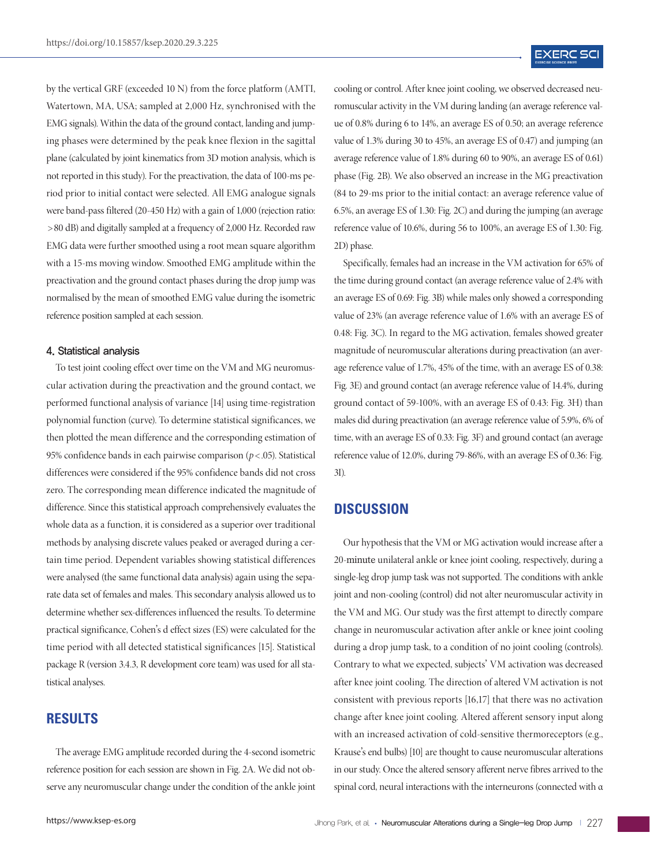by the vertical GRF (exceeded 10 N) from the force platform (AMTI, Watertown, MA, USA; sampled at 2,000 Hz, synchronised with the EMG signals). Within the data of the ground contact, landing and jumping phases were determined by the peak knee flexion in the sagittal plane (calculated by joint kinematics from 3D motion analysis, which is not reported in this study). For the preactivation, the data of 100-ms period prior to initial contact were selected. All EMG analogue signals were band-pass filtered (20-450 Hz) with a gain of 1,000 (rejection ratio: > 80 dB) and digitally sampled at a frequency of 2,000 Hz. Recorded raw EMG data were further smoothed using a root mean square algorithm with a 15-ms moving window. Smoothed EMG amplitude within the preactivation and the ground contact phases during the drop jump was normalised by the mean of smoothed EMG value during the isometric reference position sampled at each session.

#### 4. Statistical analysis

To test joint cooling effect over time on the VM and MG neuromuscular activation during the preactivation and the ground contact, we performed functional analysis of variance [14] using time-registration polynomial function (curve). To determine statistical significances, we then plotted the mean difference and the corresponding estimation of 95% confidence bands in each pairwise comparison  $(p < .05)$ . Statistical differences were considered if the 95% confidence bands did not cross zero. The corresponding mean difference indicated the magnitude of difference. Since this statistical approach comprehensively evaluates the whole data as a function, it is considered as a superior over traditional methods by analysing discrete values peaked or averaged during a certain time period. Dependent variables showing statistical differences were analysed (the same functional data analysis) again using the separate data set of females and males. This secondary analysis allowed us to determine whether sex-differences influenced the results. To determine practical significance, Cohen's d effect sizes (ES) were calculated for the time period with all detected statistical significances [15]. Statistical package R (version 3.4.3, R development core team) was used for all statistical analyses.

## **RESULTS**

The average EMG amplitude recorded during the 4-second isometric reference position for each session are shown in Fig. 2A. We did not observe any neuromuscular change under the condition of the ankle joint cooling or control. After knee joint cooling, we observed decreased neuromuscular activity in the VM during landing (an average reference value of 0.8% during 6 to 14%, an average ES of 0.50; an average reference value of 1.3% during 30 to 45%, an average ES of 0.47) and jumping (an average reference value of 1.8% during 60 to 90%, an average ES of 0.61) phase (Fig. 2B). We also observed an increase in the MG preactivation (84 to 29-ms prior to the initial contact: an average reference value of 6.5%, an average ES of 1.30: Fig. 2C) and during the jumping (an average reference value of 10.6%, during 56 to 100%, an average ES of 1.30: Fig. 2D) phase.

Specifically, females had an increase in the VM activation for 65% of the time during ground contact (an average reference value of 2.4% with an average ES of 0.69: Fig. 3B) while males only showed a corresponding value of 23% (an average reference value of 1.6% with an average ES of 0.48: Fig. 3C). In regard to the MG activation, females showed greater magnitude of neuromuscular alterations during preactivation (an average reference value of 1.7%, 45% of the time, with an average ES of 0.38: Fig. 3E) and ground contact (an average reference value of 14.4%, during ground contact of 59-100%, with an average ES of 0.43: Fig. 3H) than males did during preactivation (an average reference value of 5.9%, 6% of time, with an average ES of 0.33: Fig. 3F) and ground contact (an average reference value of 12.0%, during 79-86%, with an average ES of 0.36: Fig. 3I).

#### **DISCUSSION**

Our hypothesis that the VM or MG activation would increase after a 20-minute unilateral ankle or knee joint cooling, respectively, during a single-leg drop jump task was not supported. The conditions with ankle joint and non-cooling (control) did not alter neuromuscular activity in the VM and MG. Our study was the first attempt to directly compare change in neuromuscular activation after ankle or knee joint cooling during a drop jump task, to a condition of no joint cooling (controls). Contrary to what we expected, subjects' VM activation was decreased after knee joint cooling. The direction of altered VM activation is not consistent with previous reports [16,17] that there was no activation change after knee joint cooling. Altered afferent sensory input along with an increased activation of cold-sensitive thermoreceptors (e.g., Krause's end bulbs) [10] are thought to cause neuromuscular alterations in our study. Once the altered sensory afferent nerve fibres arrived to the spinal cord, neural interactions with the interneurons (connected with α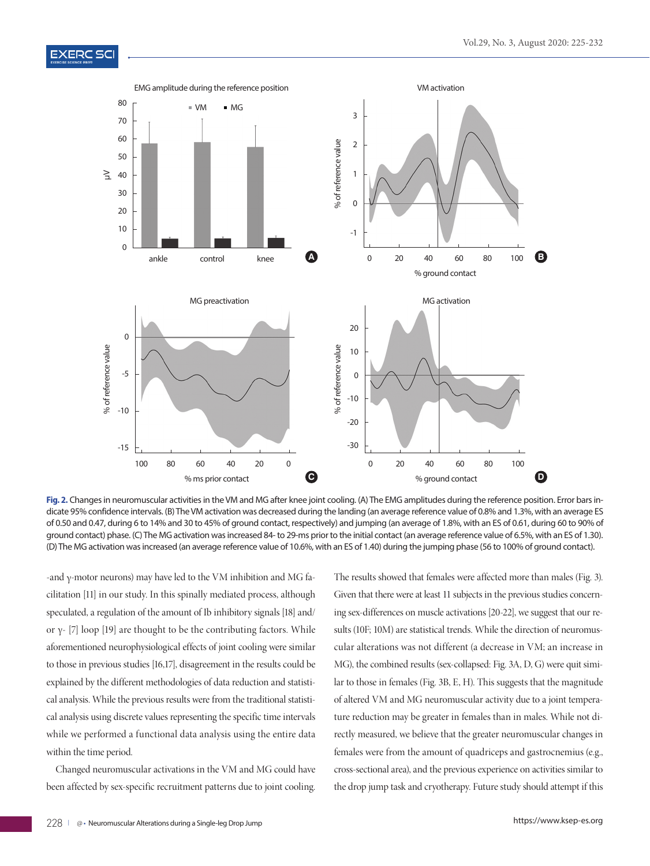

**Fig. 2.** Changes in neuromuscular activities in the VM and MG after knee joint cooling. (A) The EMG amplitudes during the reference position. Error bars indicate 95% confidence intervals. (B) The VM activation was decreased during the landing (an average reference value of 0.8% and 1.3%, with an average ES of 0.50 and 0.47, during 6 to 14% and 30 to 45% of ground contact, respectively) and jumping (an average of 1.8%, with an ES of 0.61, during 60 to 90% of ground contact) phase. (C) The MG activation was increased 84- to 29-ms prior to the initial contact (an average reference value of 6.5%, with an ES of 1.30). (D) The MG activation was increased (an average reference value of 10.6%, with an ES of 1.40) during the jumping phase (56 to 100% of ground contact).

-and γ-motor neurons) may have led to the VM inhibition and MG facilitation [11] in our study. In this spinally mediated process, although speculated, a regulation of the amount of Ib inhibitory signals [18] and/ or γ- [7] loop [19] are thought to be the contributing factors. While aforementioned neurophysiological effects of joint cooling were similar to those in previous studies [16,17], disagreement in the results could be explained by the different methodologies of data reduction and statistical analysis. While the previous results were from the traditional statistical analysis using discrete values representing the specific time intervals while we performed a functional data analysis using the entire data within the time period.

Changed neuromuscular activations in the VM and MG could have been affected by sex-specific recruitment patterns due to joint cooling. The results showed that females were affected more than males (Fig. 3). Given that there were at least 11 subjects in the previous studies concerning sex-differences on muscle activations [20-22], we suggest that our results (10F; 10M) are statistical trends. While the direction of neuromuscular alterations was not different (a decrease in VM; an increase in MG), the combined results (sex-collapsed: Fig. 3A, D, G) were quit similar to those in females (Fig. 3B, E, H). This suggests that the magnitude of altered VM and MG neuromuscular activity due to a joint temperature reduction may be greater in females than in males. While not directly measured, we believe that the greater neuromuscular changes in females were from the amount of quadriceps and gastrocnemius (e.g., cross-sectional area), and the previous experience on activities similar to the drop jump task and cryotherapy. Future study should attempt if this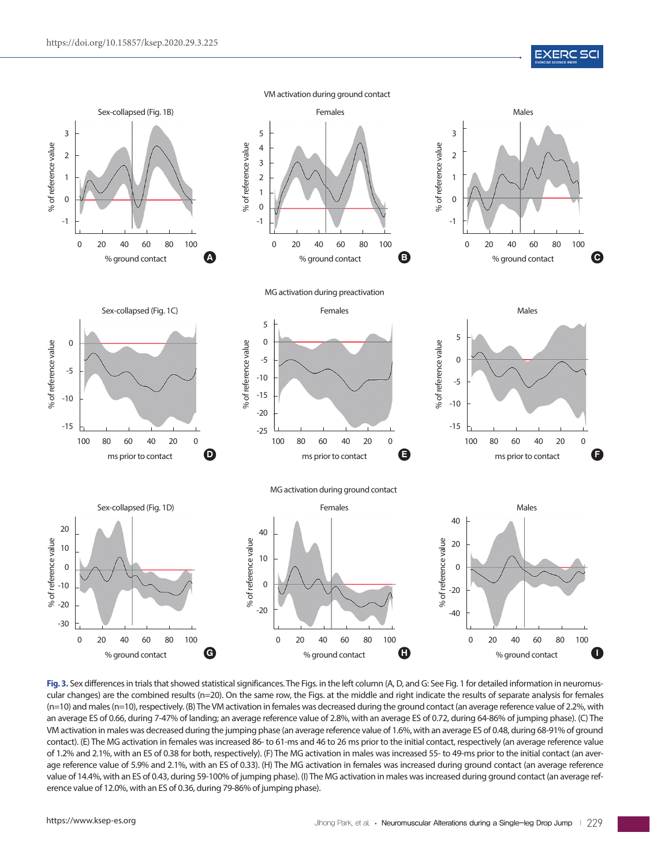**EXERC SCI** 



Fig. 3. Sex differences in trials that showed statistical significances. The Figs. in the left column (A, D, and G: See Fig. 1 for detailed information in neuromuscular changes) are the combined results (n=20). On the same row, the Figs. at the middle and right indicate the results of separate analysis for females (n=10) and males (n=10), respectively. (B) The VM activation in females was decreased during the ground contact (an average reference value of 2.2%, with an average ES of 0.66, during 7-47% of landing; an average reference value of 2.8%, with an average ES of 0.72, during 64-86% of jumping phase). (C) The VM activation in males was decreased during the jumping phase (an average reference value of 1.6%, with an average ES of 0.48, during 68-91% of ground contact). (E) The MG activation in females was increased 86- to 61-ms and 46 to 26 ms prior to the initial contact, respectively (an average reference value of 1.2% and 2.1%, with an ES of 0.38 for both, respectively). (F) The MG activation in males was increased 55- to 49-ms prior to the initial contact (an average reference value of 5.9% and 2.1%, with an ES of 0.33). (H) The MG activation in females was increased during ground contact (an average reference value of 14.4%, with an ES of 0.43, during 59-100% of jumping phase). (I) The MG activation in males was increased during ground contact (an average reference value of 12.0%, with an ES of 0.36, during 79-86% of jumping phase).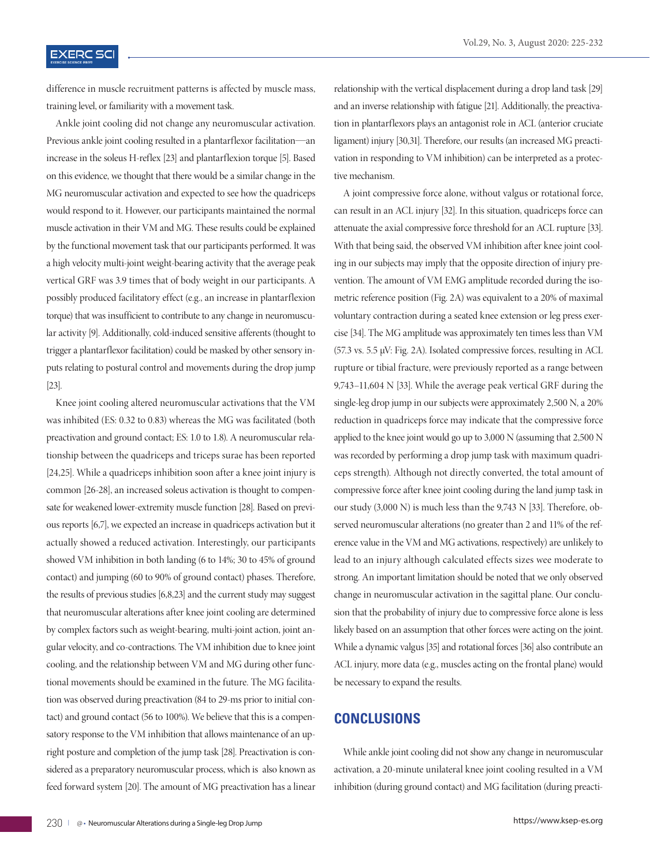# **EXERC SCI**

difference in muscle recruitment patterns is affected by muscle mass, training level, or familiarity with a movement task.

Ankle joint cooling did not change any neuromuscular activation. Previous ankle joint cooling resulted in a plantarflexor facilitation—an increase in the soleus H-reflex [23] and plantarflexion torque [5]. Based on this evidence, we thought that there would be a similar change in the MG neuromuscular activation and expected to see how the quadriceps would respond to it. However, our participants maintained the normal muscle activation in their VM and MG. These results could be explained by the functional movement task that our participants performed. It was a high velocity multi-joint weight-bearing activity that the average peak vertical GRF was 3.9 times that of body weight in our participants. A possibly produced facilitatory effect (e.g., an increase in plantarflexion torque) that was insufficient to contribute to any change in neuromuscular activity [9]. Additionally, cold-induced sensitive afferents (thought to trigger a plantarflexor facilitation) could be masked by other sensory inputs relating to postural control and movements during the drop jump [23].

Knee joint cooling altered neuromuscular activations that the VM was inhibited (ES: 0.32 to 0.83) whereas the MG was facilitated (both preactivation and ground contact; ES: 1.0 to 1.8). A neuromuscular relationship between the quadriceps and triceps surae has been reported [24,25]. While a quadriceps inhibition soon after a knee joint injury is common [26-28], an increased soleus activation is thought to compensate for weakened lower-extremity muscle function [28]. Based on previous reports [6,7], we expected an increase in quadriceps activation but it actually showed a reduced activation. Interestingly, our participants showed VM inhibition in both landing (6 to 14%; 30 to 45% of ground contact) and jumping (60 to 90% of ground contact) phases. Therefore, the results of previous studies [6,8,23] and the current study may suggest that neuromuscular alterations after knee joint cooling are determined by complex factors such as weight-bearing, multi-joint action, joint angular velocity, and co-contractions. The VM inhibition due to knee joint cooling, and the relationship between VM and MG during other functional movements should be examined in the future. The MG facilitation was observed during preactivation (84 to 29-ms prior to initial contact) and ground contact (56 to 100%). We believe that this is a compensatory response to the VM inhibition that allows maintenance of an upright posture and completion of the jump task [28]. Preactivation is considered as a preparatory neuromuscular process, which is also known as feed forward system [20]. The amount of MG preactivation has a linear

relationship with the vertical displacement during a drop land task [29] and an inverse relationship with fatigue [21]. Additionally, the preactivation in plantarflexors plays an antagonist role in ACL (anterior cruciate ligament) injury [30,31]. Therefore, our results (an increased MG preactivation in responding to VM inhibition) can be interpreted as a protective mechanism.

A joint compressive force alone, without valgus or rotational force, can result in an ACL injury [32]. In this situation, quadriceps force can attenuate the axial compressive force threshold for an ACL rupture [33]. With that being said, the observed VM inhibition after knee joint cooling in our subjects may imply that the opposite direction of injury prevention. The amount of VM EMG amplitude recorded during the isometric reference position (Fig. 2A) was equivalent to a 20% of maximal voluntary contraction during a seated knee extension or leg press exercise [34]. The MG amplitude was approximately ten times less than VM (57.3 vs. 5.5 µV: Fig. 2A). Isolated compressive forces, resulting in ACL rupture or tibial fracture, were previously reported as a range between 9,743–11,604 N [33]. While the average peak vertical GRF during the single-leg drop jump in our subjects were approximately 2,500 N, a 20% reduction in quadriceps force may indicate that the compressive force applied to the knee joint would go up to 3,000 N (assuming that 2,500 N was recorded by performing a drop jump task with maximum quadriceps strength). Although not directly converted, the total amount of compressive force after knee joint cooling during the land jump task in our study (3,000 N) is much less than the 9,743 N [33]. Therefore, observed neuromuscular alterations (no greater than 2 and 11% of the reference value in the VM and MG activations, respectively) are unlikely to lead to an injury although calculated effects sizes wee moderate to strong. An important limitation should be noted that we only observed change in neuromuscular activation in the sagittal plane. Our conclusion that the probability of injury due to compressive force alone is less likely based on an assumption that other forces were acting on the joint. While a dynamic valgus [35] and rotational forces [36] also contribute an ACL injury, more data (e.g., muscles acting on the frontal plane) would be necessary to expand the results.

### **CONCLUSIONS**

While ankle joint cooling did not show any change in neuromuscular activation, a 20-minute unilateral knee joint cooling resulted in a VM inhibition (during ground contact) and MG facilitation (during preacti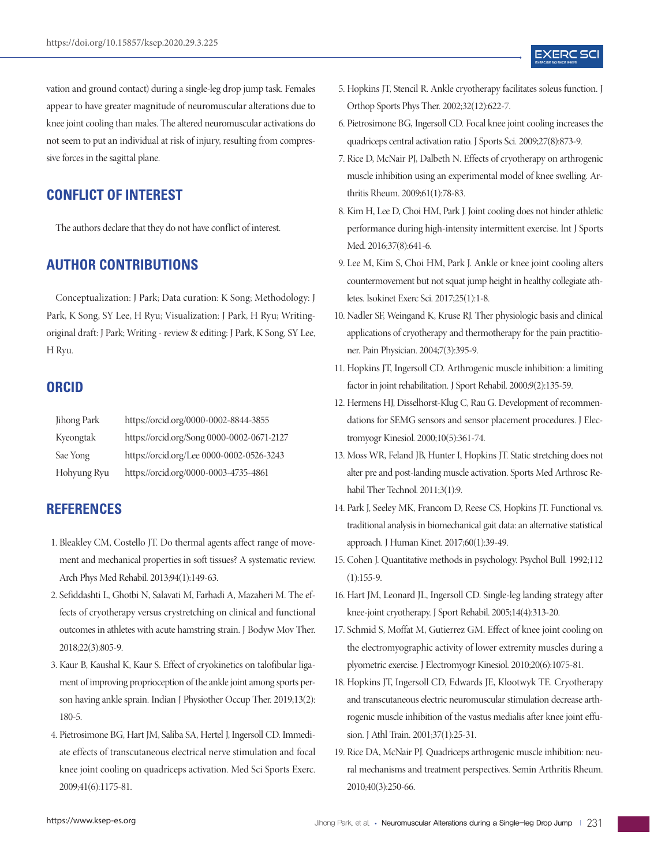vation and ground contact) during a single-leg drop jump task. Females appear to have greater magnitude of neuromuscular alterations due to knee joint cooling than males. The altered neuromuscular activations do not seem to put an individual at risk of injury, resulting from compressive forces in the sagittal plane.

# **CONFLICT OF INTEREST**

The authors declare that they do not have conflict of interest.

## **AUTHOR CONTRIBUTIONS**

Conceptualization: J Park; Data curation: K Song; Methodology: J Park, K Song, SY Lee, H Ryu; Visualization: J Park, H Ryu; Writingoriginal draft: J Park; Writing - review & editing: J Park, K Song, SY Lee, H Ryu.

## **ORCID**

| Jihong Park | https://orcid.org/0000-0002-8844-3855      |
|-------------|--------------------------------------------|
| Kyeongtak   | https://orcid.org/Song 0000-0002-0671-2127 |
| Sae Yong    | https://orcid.org/Lee 0000-0002-0526-3243  |
| Hohyung Ryu | https://orcid.org/0000-0003-4735-4861      |

# **REFERENCES**

- 1. Bleakley CM, Costello JT. Do thermal agents affect range of movement and mechanical properties in soft tissues? A systematic review. Arch Phys Med Rehabil. 2013;94(1):149-63.
- 2. Sefiddashti L, Ghotbi N, Salavati M, Farhadi A, Mazaheri M. The effects of cryotherapy versus crystretching on clinical and functional outcomes in athletes with acute hamstring strain. J Bodyw Mov Ther. 2018;22(3):805-9.
- 3. Kaur B, Kaushal K, Kaur S. Effect of cryokinetics on talofibular ligament of improving proprioception of the ankle joint among sports person having ankle sprain. Indian J Physiother Occup Ther. 2019;13(2): 180-5.
- 4. Pietrosimone BG, Hart JM, Saliba SA, Hertel J, Ingersoll CD. Immediate effects of transcutaneous electrical nerve stimulation and focal knee joint cooling on quadriceps activation. Med Sci Sports Exerc. 2009;41(6):1175-81.
- 5. Hopkins JT, Stencil R. Ankle cryotherapy facilitates soleus function. J Orthop Sports Phys Ther. 2002;32(12):622-7.
- 6. Pietrosimone BG, Ingersoll CD. Focal knee joint cooling increases the quadriceps central activation ratio. J Sports Sci. 2009;27(8):873-9.
- 7. Rice D, McNair PJ, Dalbeth N. Effects of cryotherapy on arthrogenic muscle inhibition using an experimental model of knee swelling. Arthritis Rheum. 2009;61(1):78-83.
- 8. Kim H, Lee D, Choi HM, Park J. Joint cooling does not hinder athletic performance during high-intensity intermittent exercise. Int J Sports Med. 2016;37(8):641-6.
- 9. Lee M, Kim S, Choi HM, Park J. Ankle or knee joint cooling alters countermovement but not squat jump height in healthy collegiate athletes. Isokinet Exerc Sci. 2017;25(1):1-8.
- 10. Nadler SF, Weingand K, Kruse RJ. Ther physiologic basis and clinical applications of cryotherapy and thermotherapy for the pain practitioner. Pain Physician. 2004;7(3):395-9.
- 11. Hopkins JT, Ingersoll CD. Arthrogenic muscle inhibition: a limiting factor in joint rehabilitation. J Sport Rehabil. 2000;9(2):135-59.
- 12. Hermens HJ, Disselhorst-Klug C, Rau G. Development of recommendations for SEMG sensors and sensor placement procedures. J Electromyogr Kinesiol. 2000;10(5):361-74.
- 13. Moss WR, Feland JB, Hunter I, Hopkins JT. Static stretching does not alter pre and post-landing muscle activation. Sports Med Arthrosc Rehabil Ther Technol. 2011;3(1):9.
- 14. Park J, Seeley MK, Francom D, Reese CS, Hopkins JT. Functional vs. traditional analysis in biomechanical gait data: an alternative statistical approach. J Human Kinet. 2017;60(1):39-49.
- 15. Cohen J. Quantitative methods in psychology. Psychol Bull. 1992;112  $(1):155-9.$
- 16. Hart JM, Leonard JL, Ingersoll CD. Single-leg landing strategy after knee-joint cryotherapy. J Sport Rehabil. 2005;14(4):313-20.
- 17. Schmid S, Moffat M, Gutierrez GM. Effect of knee joint cooling on the electromyographic activity of lower extremity muscles during a plyometric exercise. J Electromyogr Kinesiol. 2010;20(6):1075-81.
- 18. Hopkins JT, Ingersoll CD, Edwards JE, Klootwyk TE. Cryotherapy and transcutaneous electric neuromuscular stimulation decrease arthrogenic muscle inhibition of the vastus medialis after knee joint effusion. J Athl Train. 2001;37(1):25-31.
- 19. Rice DA, McNair PJ. Quadriceps arthrogenic muscle inhibition: neural mechanisms and treatment perspectives. Semin Arthritis Rheum. 2010;40(3):250-66.